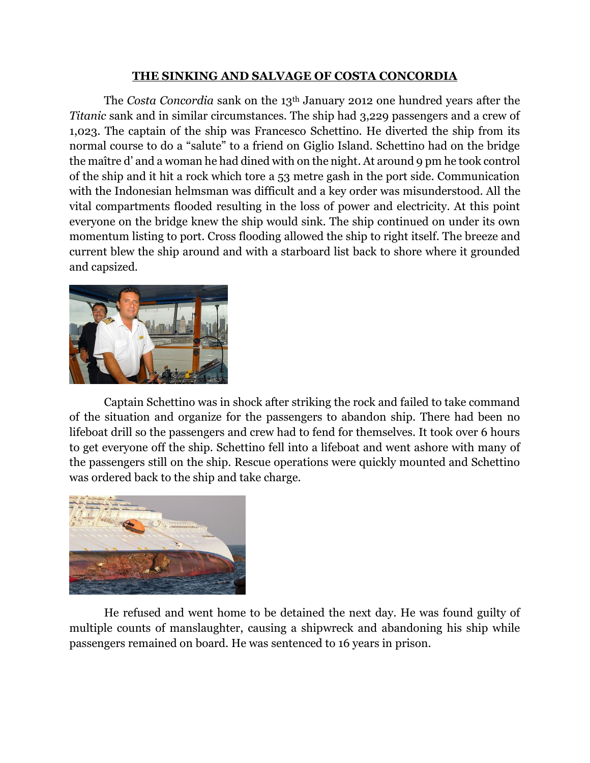## **THE SINKING AND SALVAGE OF COSTA CONCORDIA**

The *Costa Concordia* sank on the 13th January 2012 one hundred years after the *Titanic* sank and in similar circumstances. The ship had 3,229 passengers and a crew of 1,023. The captain of the ship was Francesco Schettino. He diverted the ship from its normal course to do a "salute" to a friend on Giglio Island. Schettino had on the bridge the maître d' and a woman he had dined with on the night. At around 9 pm he took control of the ship and it hit a rock which tore a 53 metre gash in the port side. Communication with the Indonesian helmsman was difficult and a key order was misunderstood. All the vital compartments flooded resulting in the loss of power and electricity. At this point everyone on the bridge knew the ship would sink. The ship continued on under its own momentum listing to port. Cross flooding allowed the ship to right itself. The breeze and current blew the ship around and with a starboard list back to shore where it grounded and capsized.



Captain Schettino was in shock after striking the rock and failed to take command of the situation and organize for the passengers to abandon ship. There had been no lifeboat drill so the passengers and crew had to fend for themselves. It took over 6 hours to get everyone off the ship. Schettino fell into a lifeboat and went ashore with many of the passengers still on the ship. Rescue operations were quickly mounted and Schettino was ordered back to the ship and take charge.



He refused and went home to be detained the next day. He was found guilty of multiple counts of manslaughter, causing a shipwreck and abandoning his ship while passengers remained on board. He was sentenced to 16 years in prison.